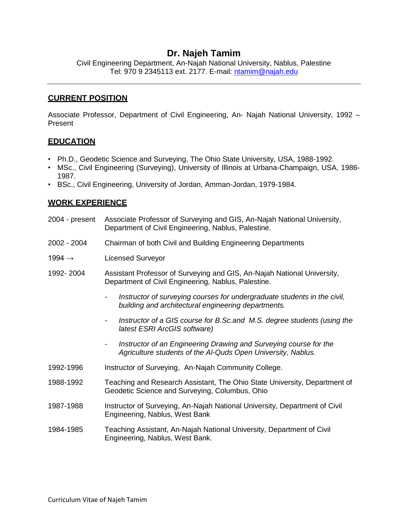# **Dr. Najeh Tamim**

Civil Engineering Department, An-Najah National University, Nablus, Palestine Tel: 970 9 2345113 ext. 2177. E-mail: [ntamim@najah.edu](mailto:ntamim@najah.edu)

### **CURRENT POSITION**

Associate Professor, Department of Civil Engineering, An- Najah National University, 1992 – Present

### **EDUCATION**

- Ph.D., Geodetic Science and Surveying, The Ohio State University, USA, 1988-1992.
- MSc., Civil Engineering (Surveying), University of Illinois at Urbana-Champaign, USA, 1986- 1987.
- BSc., Civil Engineering, University of Jordan, Amman-Jordan, 1979-1984.

### **WORK EXPERIENCE**

- 2004 present Associate Professor of Surveying and GIS, An-Najah National University, Department of Civil Engineering, Nablus, Palestine.
- 2002 2004 Chairman of both Civil and Building Engineering Departments
- 1994 → Licensed Surveyor
- 1992- 2004 Assistant Professor of Surveying and GIS, An-Najah National University, Department of Civil Engineering, Nablus, Palestine.
	- *- Instructor of surveying courses for undergraduate students in the civil, building and architectural engineering departments.*
	- *- Instructor of a GIS course for B.Sc.and M.S. degree students (using the latest ESRI ArcGIS software)*
	- *- Instructor of an Engineering Drawing and Surveying course for the Agriculture students of the Al-Quds Open University, Nablus.*
- 1992-1996 Instructor of Surveying, An-Najah Community College.
- 1988-1992 Teaching and Research Assistant, The Ohio State University, Department of Geodetic Science and Surveying, Columbus, Ohio
- 1987-1988 Instructor of Surveying, An-Najah National University, Department of Civil Engineering, Nablus, West Bank
- 1984-1985 Teaching Assistant, An-Najah National University, Department of Civil Engineering, Nablus, West Bank.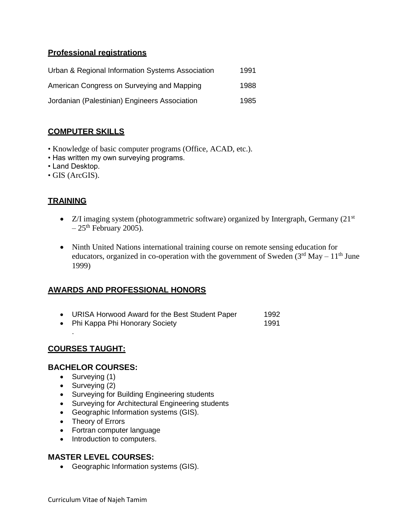## **Professional registrations**

| Urban & Regional Information Systems Association | 1991 |
|--------------------------------------------------|------|
| American Congress on Surveying and Mapping       | 1988 |
| Jordanian (Palestinian) Engineers Association    | 1985 |

# **COMPUTER SKILLS**

- Knowledge of basic computer programs (Office, ACAD, etc.).
- Has written my own surveying programs.
- Land Desktop.
- GIS (ArcGIS).

# **TRAINING**

- $\bullet$  Z/I imaging system (photogrammetric software) organized by Intergraph, Germany (21<sup>st</sup>)  $-25$ <sup>th</sup> February 2005).
- Ninth United Nations international training course on remote sensing education for educators, organized in co-operation with the government of Sweden  $(3<sup>rd</sup> May - 11<sup>th</sup> June$ 1999)

### **AWARDS AND PROFESSIONAL HONORS**

|  | URISA Horwood Award for the Best Student Paper | 1992 |
|--|------------------------------------------------|------|
|--|------------------------------------------------|------|

• Phi Kappa Phi Honorary Society 1991

## **COURSES TAUGHT:**

.

### **BACHELOR COURSES:**

- Surveying (1)
- Surveying (2)
- Surveying for Building Engineering students
- **•** Surveying for Architectural Engineering students
- Geographic Information systems (GIS).
- Theory of Errors
- Fortran computer language
- Introduction to computers.

### **MASTER LEVEL COURSES:**

Geographic Information systems (GIS).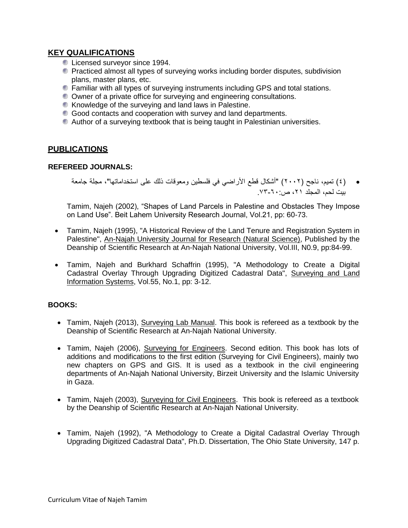## **KEY QUALIFICATIONS**

- **Licensed surveyor since 1994.**
- **Practiced almost all types of surveying works including border disputes, subdivision** plans, master plans, etc.
- **•** Familiar with all types of surveying instruments including GPS and total stations.
- Owner of a private office for surveying and engineering consultations.
- Knowledge of the surveying and land laws in Palestine.
- Good contacts and cooperation with survey and land departments.
- Author of a surveying textbook that is being taught in Palestinian universities.

### **PUBLICATIONS**

#### **REFEREED JOURNALS:**

( 4 )تميم، ناجح )2002( "أشكال قطع األراضي في فلسطين ومعوقات ذلك على استخداماتها"، مجلة جامعة بيت لحم، المجلد ٢١، ص. ٦٠-٧٣

Tamim, Najeh (2002), "Shapes of Land Parcels in Palestine and Obstacles They Impose on Land Use". Beit Lahem University Research Journal, Vol.21, pp: 60-73.

- Tamim, Najeh (1995), "A Historical Review of the Land Tenure and Registration System in Palestine", An-Najah University Journal for Research (Natural Science), Published by the Deanship of Scientific Research at An-Najah National University, Vol.III, N0.9, pp:84-99.
- Tamim, Najeh and Burkhard Schaffrin (1995), "A Methodology to Create a Digital Cadastral Overlay Through Upgrading Digitized Cadastral Data", Surveying and Land Information Systems, Vol.55, No.1, pp: 3-12.

### **BOOKS:**

- Tamim, Najeh (2013), Surveying Lab Manual. This book is refereed as a textbook by the Deanship of Scientific Research at An-Najah National University.
- Tamim, Najeh (2006), Surveying for Engineers. Second edition. This book has lots of additions and modifications to the first edition (Surveying for Civil Engineers), mainly two new chapters on GPS and GIS. It is used as a textbook in the civil engineering departments of An-Najah National University, Birzeit University and the Islamic University in Gaza.
- Tamim, Najeh (2003), Surveying for Civil Engineers. This book is refereed as a textbook by the Deanship of Scientific Research at An-Najah National University.
- Tamim, Najeh (1992), "A Methodology to Create a Digital Cadastral Overlay Through Upgrading Digitized Cadastral Data", Ph.D. Dissertation, The Ohio State University, 147 p.